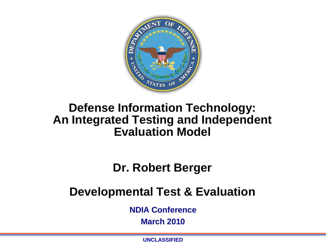

#### **Defense Information Technology: An Integrated Testing and Independent Evaluation Model**

#### **Dr. Robert Berger**

#### **Developmental Test & Evaluation**

**NDIA Conference**

**March 2010** 

**UNCLASSIFIED**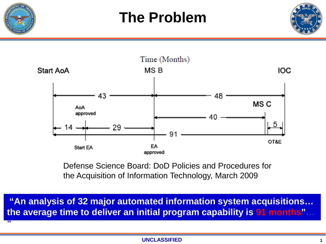

**"**





Defense Science Board: DoD Policies and Procedures for the Acquisition of Information Technology, March 2009

**"An analysis of 32 major automated information system acquisitions… the average time to deliver an initial program capability is 91 months"…**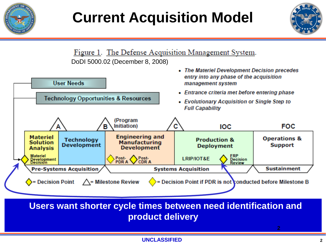

## **Current Acquisition Model**



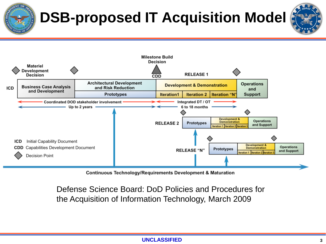# **DSB-proposed IT Acquisition Model**





**Continuous Technology/Requirements Development & Maturation** 

Defense Science Board: DoD Policies and Procedures for the Acquisition of Information Technology, March 2009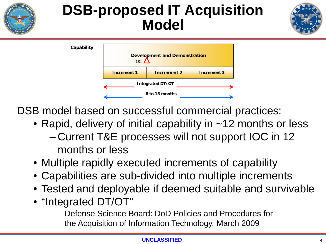## **DSB-proposed IT Acquisition Model**





DSB model based on successful commercial practices:

- Rapid, delivery of initial capability in ~12 months or less – Current T&E processes will not support IOC in 12 months or less
- Multiple rapidly executed increments of capability
- Capabilities are sub-divided into multiple increments
- Tested and deployable if deemed suitable and survivable
- "Integrated DT/OT"

Defense Science Board: DoD Policies and Procedures for the Acquisition of Information Technology, March 2009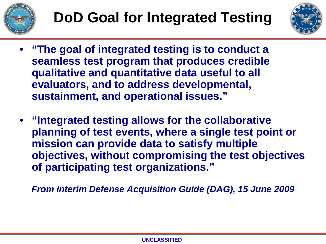



- **"The goal of integrated testing is to conduct a seamless test program that produces credible qualitative and quantitative data useful to all evaluators, and to address developmental, sustainment, and operational issues."**
- **"Integrated testing allows for the collaborative planning of test events, where a single test point or mission can provide data to satisfy multiple objectives, without compromising the test objectives of participating test organizations."**

*From Interim Defense Acquisition Guide (DAG), 15 June 2009*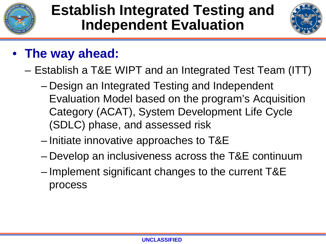



- **The way ahead:**
	- Establish a T&E WIPT and an Integrated Test Team (ITT)
		- Design an Integrated Testing and Independent Evaluation Model based on the program's Acquisition Category (ACAT), System Development Life Cycle (SDLC) phase, and assessed risk
		- Initiate innovative approaches to T&E
		- Develop an inclusiveness across the T&E continuum
		- Implement significant changes to the current T&E process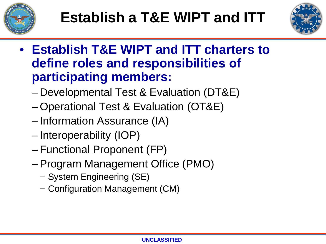



- **Establish T&E WIPT and ITT charters to define roles and responsibilities of participating members:**
	- Developmental Test & Evaluation (DT&E)
	- Operational Test & Evaluation (OT&E)
	- Information Assurance (IA)
	- Interoperability (IOP)
	- Functional Proponent (FP)
	- –Program Management Office (PMO)
		- − System Engineering (SE)
		- − Configuration Management (CM)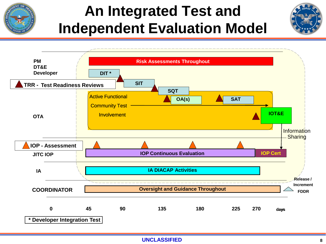

## **An Integrated Test and Independent Evaluation Model**



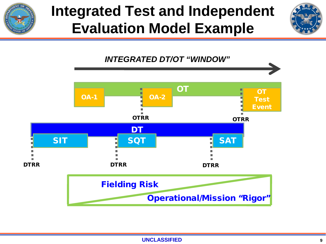

## **Integrated Test and Independent Evaluation Model Example**



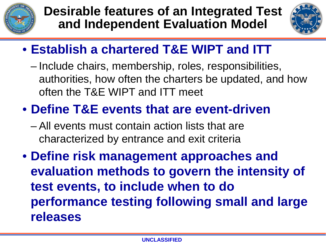



### • **Establish a chartered T&E WIPT and ITT**

– Include chairs, membership, roles, responsibilities, authorities, how often the charters be updated, and how often the T&E WIPT and ITT meet

### • **Define T&E events that are event-driven**

- All events must contain action lists that are characterized by entrance and exit criteria
- **Define risk management approaches and evaluation methods to govern the intensity of test events, to include when to do performance testing following small and large releases**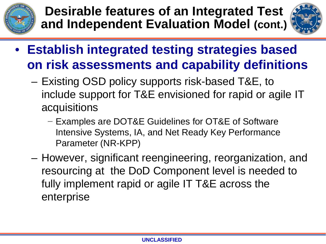



- **Establish integrated testing strategies based on risk assessments and capability definitions**
	- Existing OSD policy supports risk-based T&E, to include support for T&E envisioned for rapid or agile IT acquisitions
		- − Examples are DOT&E Guidelines for OT&E of Software Intensive Systems, IA, and Net Ready Key Performance Parameter (NR-KPP)
	- However, significant reengineering, reorganization, and resourcing at the DoD Component level is needed to fully implement rapid or agile IT T&E across the enterprise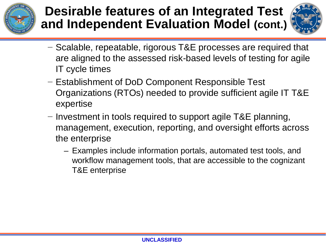



- − Scalable, repeatable, rigorous T&E processes are required that are aligned to the assessed risk-based levels of testing for agile IT cycle times
- − Establishment of DoD Component Responsible Test Organizations (RTOs) needed to provide sufficient agile IT T&E expertise
- − Investment in tools required to support agile T&E planning, management, execution, reporting, and oversight efforts across the enterprise
	- Examples include information portals, automated test tools, and workflow management tools, that are accessible to the cognizant T&E enterprise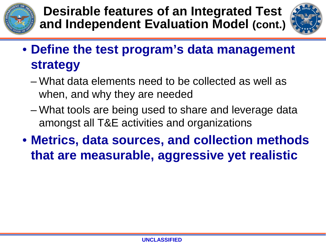



- **Define the test program's data management strategy**
	- What data elements need to be collected as well as when, and why they are needed
	- What tools are being used to share and leverage data amongst all T&E activities and organizations
- **Metrics, data sources, and collection methods that are measurable, aggressive yet realistic**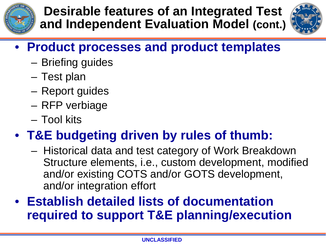



## • **Product processes and product templates**

- Briefing guides
- Test plan
- Report guides
- RFP verbiage
- Tool kits

## • **T&E budgeting driven by rules of thumb:**

– Historical data and test category of Work Breakdown Structure elements, i.e., custom development, modified and/or existing COTS and/or GOTS development, and/or integration effort

### • **Establish detailed lists of documentation required to support T&E planning/execution**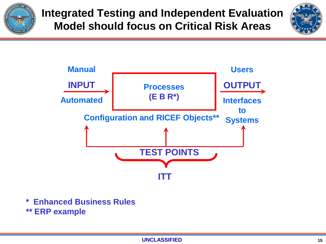

**Integrated Testing and Independent Evaluation Model should focus on Critical Risk Areas**





- **\* Enhanced Business Rules**
- **\*\* ERP example**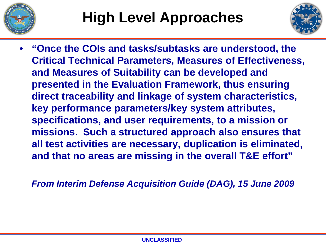



• **"Once the COIs and tasks/subtasks are understood, the Critical Technical Parameters, Measures of Effectiveness, and Measures of Suitability can be developed and presented in the Evaluation Framework, thus ensuring direct traceability and linkage of system characteristics, key performance parameters/key system attributes, specifications, and user requirements, to a mission or missions. Such a structured approach also ensures that all test activities are necessary, duplication is eliminated, and that no areas are missing in the overall T&E effort"** 

*From Interim Defense Acquisition Guide (DAG), 15 June 2009*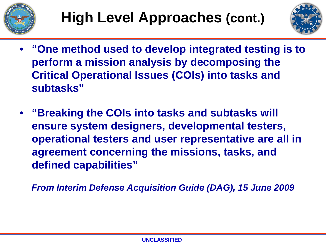



- **"One method used to develop integrated testing is to perform a mission analysis by decomposing the Critical Operational Issues (COIs) into tasks and subtasks"**
- **"Breaking the COIs into tasks and subtasks will ensure system designers, developmental testers, operational testers and user representative are all in agreement concerning the missions, tasks, and defined capabilities"**

*From Interim Defense Acquisition Guide (DAG), 15 June 2009*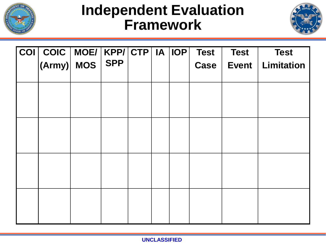

## **Independent Evaluation Framework**



| $ COI $ COIC $ $ MOE/ $ $ KPP/ $ $ CTP $ $ IA $ $ IOP $ $ |            |  | <b>Test</b> | <b>Test</b>  | <b>Test</b>       |
|-----------------------------------------------------------|------------|--|-------------|--------------|-------------------|
| $ ({\mathsf{Army}}) $ MOS                                 | <b>SPP</b> |  | <b>Case</b> | <b>Event</b> | <b>Limitation</b> |
|                                                           |            |  |             |              |                   |
|                                                           |            |  |             |              |                   |
|                                                           |            |  |             |              |                   |
|                                                           |            |  |             |              |                   |
|                                                           |            |  |             |              |                   |
|                                                           |            |  |             |              |                   |
|                                                           |            |  |             |              |                   |
|                                                           |            |  |             |              |                   |
|                                                           |            |  |             |              |                   |
|                                                           |            |  |             |              |                   |
|                                                           |            |  |             |              |                   |
|                                                           |            |  |             |              |                   |
|                                                           |            |  |             |              |                   |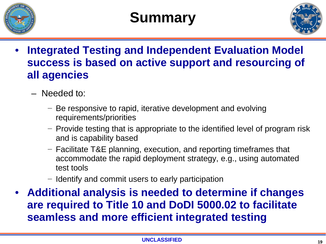

## **Summary**



- **Integrated Testing and Independent Evaluation Model success is based on active support and resourcing of all agencies**
	- Needed to:
		- − Be responsive to rapid, iterative development and evolving requirements/priorities
		- − Provide testing that is appropriate to the identified level of program risk and is capability based
		- − Facilitate T&E planning, execution, and reporting timeframes that accommodate the rapid deployment strategy, e.g., using automated test tools
		- − Identify and commit users to early participation
- **Additional analysis is needed to determine if changes are required to Title 10 and DoDI 5000.02 to facilitate seamless and more efficient integrated testing**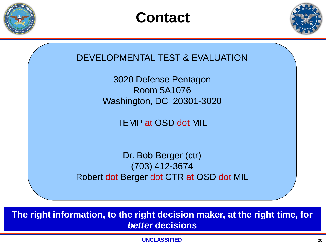







**The right information, to the right decision maker, at the right time, for**  *better* **decisions**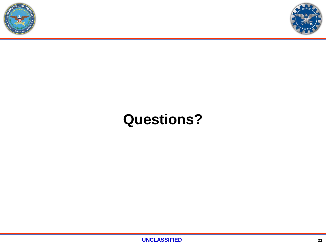



## **Questions?**

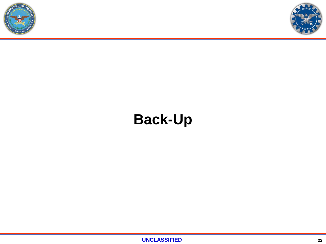



## **Back-Up**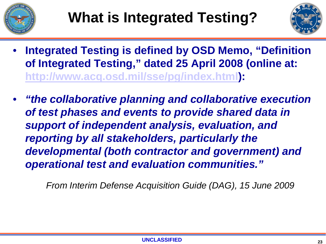



- **Integrated Testing is defined by OSD Memo, "Definition of Integrated Testing," dated 25 April 2008 (online at: <http://www.acq.osd.mil/sse/pg/index.html>):**
- *"the collaborative planning and collaborative execution of test phases and events to provide shared data in support of independent analysis, evaluation, and reporting by all stakeholders, particularly the developmental (both contractor and government) and operational test and evaluation communities."*

*From Interim Defense Acquisition Guide (DAG), 15 June 2009*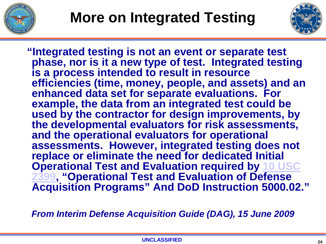



**"Integrated testing is not an event or separate test phase, nor is it a new type of test. Integrated testing is a process intended to result in resource efficiencies (time, money, people, and assets) and an enhanced data set for separate evaluations. For example, the data from an integrated test could be used by the contractor for design improvements, by the developmental evaluators for risk assessments, and the operational evaluators for operational assessments. However, integrated testing does not replace or eliminate the need for dedicated Initial Operational Test and Evaluation required by [10 USC](http://straylight.law.cornell.edu/uscode/html/uscode10/usc_sec_10_00002399----000-.html)  [2399,](http://straylight.law.cornell.edu/uscode/html/uscode10/usc_sec_10_00002399----000-.html) "Operational Test and Evaluation of Defense Acquisition Programs" And DoD Instruction 5000.02."** 

*From Interim Defense Acquisition Guide (DAG), 15 June 2009*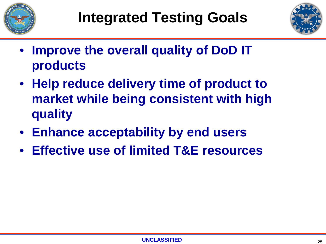



- **Improve the overall quality of DoD IT products**
- **Help reduce delivery time of product to market while being consistent with high quality**
- **Enhance acceptability by end users**
- **Effective use of limited T&E resources**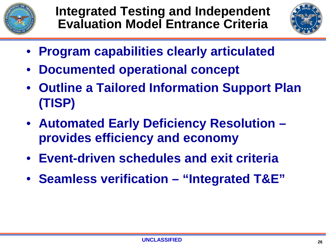

**Integrated Testing and Independent Evaluation Model Entrance Criteria**



- **Program capabilities clearly articulated**
- **Documented operational concept**
- **Outline a Tailored Information Support Plan (TISP)**
- **Automated Early Deficiency Resolution – provides efficiency and economy**
- **Event-driven schedules and exit criteria**
- **Seamless verification – "Integrated T&E"**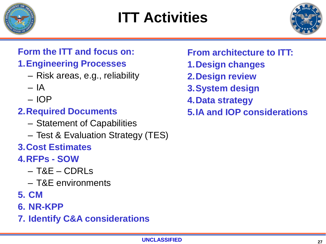

## **ITT Activities**



### **Form the ITT and focus on:**

#### **1.Engineering Processes**

- Risk areas, e.g., reliability
- $I A$
- IOP

#### **2.Required Documents**

- Statement of Capabilities
- Test & Evaluation Strategy (TES)

#### **3.Cost Estimates**

#### **4.RFPs - SOW**

- T&E CDRLs
- T&E environments
- **5. CM**
- **6. NR-KPP**
- **7. Identify C&A considerations**

#### **From architecture to ITT:**

- **1.Design changes**
- **2.Design review**
- **3.System design**
- **4.Data strategy**
- **5.IA and IOP considerations**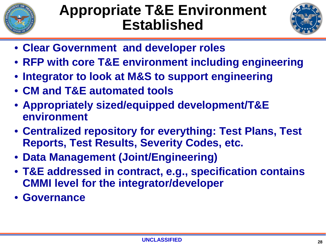

## **Appropriate T&E Environment Established**



- **Clear Government and developer roles**
- **RFP with core T&E environment including engineering**
- **Integrator to look at M&S to support engineering**
- **CM and T&E automated tools**
- **Appropriately sized/equipped development/T&E environment**
- **Centralized repository for everything: Test Plans, Test Reports, Test Results, Severity Codes, etc.**
- **Data Management (Joint/Engineering)**
- **T&E addressed in contract, e.g., specification contains CMMI level for the integrator/developer**
- **Governance**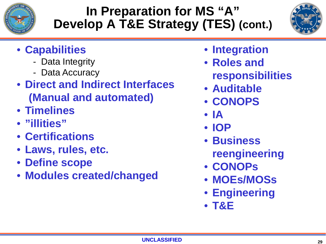

### **In Preparation for MS "A" Develop A T&E Strategy (TES) (cont.)**



- **Capabilities**
	- Data Integrity
	- Data Accuracy
- **Direct and Indirect Interfaces (Manual and automated)**
- **Timelines**
- **"illities"**
- **Certifications**
- **Laws, rules, etc.**
- **Define scope**
- **Modules created/changed**
- **Integration**
- **Roles and responsibilities**
- **Auditable**
- **CONOPS**
- **IA**
- **IOP**
- **Business reengineering**
- **CONOPs**
- **MOEs/MOSs**
- **Engineering**
- **T&E**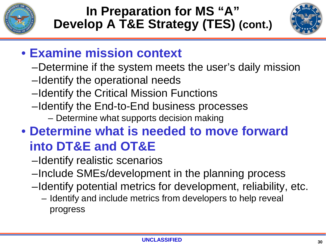

### **In Preparation for MS "A" Develop A T&E Strategy (TES) (cont.)**



### • **Examine mission context**

- –Determine if the system meets the user's daily mission
- –Identify the operational needs
- –Identify the Critical Mission Functions
- –Identify the End-to-End business processes
	- Determine what supports decision making

## • **Determine what is needed to move forward into DT&E and OT&E**

- –Identify realistic scenarios
- –Include SMEs/development in the planning process
- –Identify potential metrics for development, reliability, etc.
	- Identify and include metrics from developers to help reveal progress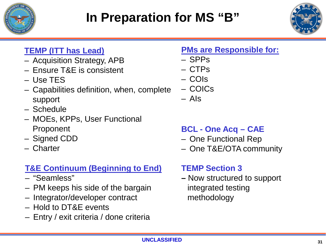



#### **TEMP (ITT has Lead)**

- Acquisition Strategy, APB
- Ensure T&E is consistent
- Use TES
- Capabilities definition, when, complete support
- Schedule
- MOEs, KPPs, User Functional Proponent
- Signed CDD
- Charter

#### **T&E Continuum (Beginning to End)**

- "Seamless"
- PM keeps his side of the bargain
- Integrator/developer contract
- Hold to DT&E events
- Entry / exit criteria / done criteria

#### **PMs are Responsible for:**

- SPPs
- CTPs
- COIs
- COICs
- AIs

#### **BCL - One Acq – CAE**

- One Functional Rep
- One T&E/OTA community

#### **TEMP Section 3**

**–** Now structured to support integrated testing methodology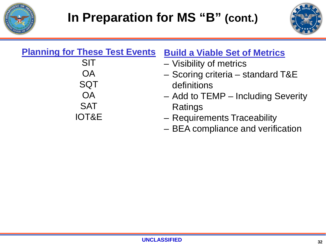



| <b>Planning for These Test Events</b> | <b>Build a Viable Set of Metrics</b> |
|---------------------------------------|--------------------------------------|
| <b>SIT</b>                            | - Visibility of metrics              |
| <b>OA</b>                             | - Scoring criteria - standard T&E    |
| <b>SQT</b>                            | definitions                          |
| <b>OA</b>                             | - Add to TEMP - Including Severity   |
| <b>SAT</b>                            | Ratings                              |
| <b>IOT&amp;E</b>                      | - Requirements Traceability          |
|                                       | - BEA compliance and verification    |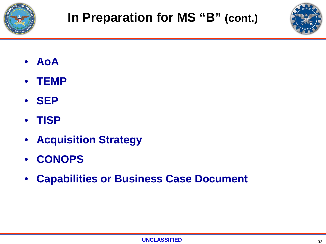



- **AoA**
- **TEMP**
- **SEP**
- **TISP**
- **Acquisition Strategy**
- **CONOPS**
- **Capabilities or Business Case Document**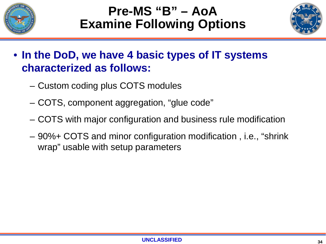

### **Pre-MS "B" – AoA Examine Following Options**



#### • **In the DoD, we have 4 basic types of IT systems characterized as follows:**

- Custom coding plus COTS modules
- COTS, component aggregation, "glue code"
- COTS with major configuration and business rule modification
- 90%+ COTS and minor configuration modification , i.e., "shrink wrap" usable with setup parameters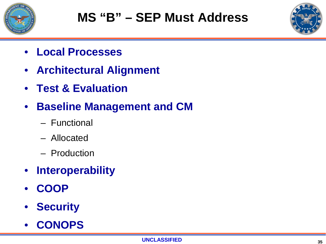



- **Local Processes**
- **Architectural Alignment**
- **Test & Evaluation**
- **Baseline Management and CM**
	- Functional
	- Allocated
	- Production
- **Interoperability**
- **COOP**
- **Security**
- **CONOPS**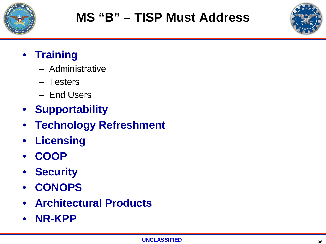



#### • **Training**

- Administrative
- Testers
- End Users
- **Supportability**
- **Technology Refreshment**
- **Licensing**
- **COOP**
- **Security**
- **CONOPS**
- **Architectural Products**
- **NR-KPP**